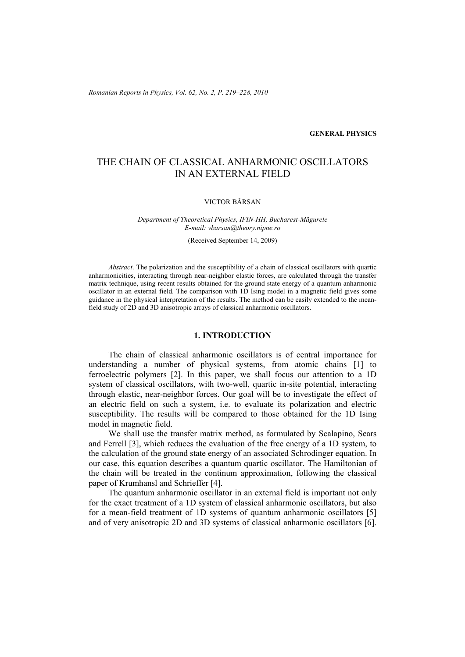*Romanian Reports in Physics, Vol. 62, No. 2, P. 219–228, 2010*

## **GENERAL PHYSICS**

# THE CHAIN OF CLASSICAL ANHARMONIC OSCILLATORS IN AN EXTERNAL FIELD

#### VICTOR BÂRSAN

#### *Department of Theoretical Physics, IFIN-HH, Bucharest-Măgurele E-mail: vbarsan@theory.nipne.ro*

(Received September 14, 2009)

*Abstract*. The polarization and the susceptibility of a chain of classical oscillators with quartic anharmonicities, interacting through near-neighbor elastic forces, are calculated through the transfer matrix technique, using recent results obtained for the ground state energy of a quantum anharmonic oscillator in an external field. The comparison with 1D Ising model in a magnetic field gives some guidance in the physical interpretation of the results. The method can be easily extended to the meanfield study of 2D and 3D anisotropic arrays of classical anharmonic oscillators.

## **1. INTRODUCTION**

The chain of classical anharmonic oscillators is of central importance for understanding a number of physical systems, from atomic chains [1] to ferroelectric polymers [2]. In this paper, we shall focus our attention to a 1D system of classical oscillators, with two-well, quartic in-site potential, interacting through elastic, near-neighbor forces. Our goal will be to investigate the effect of an electric field on such a system, i.e. to evaluate its polarization and electric susceptibility. The results will be compared to those obtained for the 1D Ising model in magnetic field.

We shall use the transfer matrix method, as formulated by Scalapino, Sears and Ferrell [3], which reduces the evaluation of the free energy of a 1D system, to the calculation of the ground state energy of an associated Schrodinger equation. In our case, this equation describes a quantum quartic oscillator. The Hamiltonian of the chain will be treated in the continum approximation, following the classical paper of Krumhansl and Schrieffer [4].

The quantum anharmonic oscillator in an external field is important not only for the exact treatment of a 1D system of classical anharmonic oscillators, but also for a mean-field treatment of 1D systems of quantum anharmonic oscillators [5] and of very anisotropic 2D and 3D systems of classical anharmonic oscillators [6].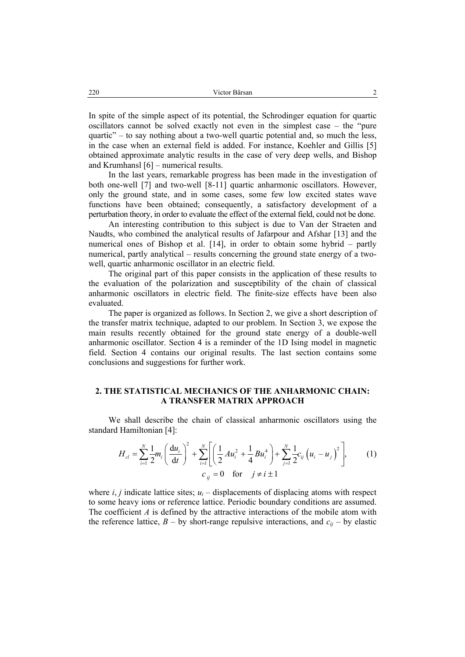In spite of the simple aspect of its potential, the Schrodinger equation for quartic oscillators cannot be solved exactly not even in the simplest case – the "pure quartic" – to say nothing about a two-well quartic potential and, so much the less, in the case when an external field is added. For instance, Koehler and Gillis [5] obtained approximate analytic results in the case of very deep wells, and Bishop and Krumhansl [6] – numerical results.

In the last years, remarkable progress has been made in the investigation of both one-well [7] and two-well [8-11] quartic anharmonic oscillators. However, only the ground state, and in some cases, some few low excited states wave functions have been obtained; consequently, a satisfactory development of a perturbation theory, in order to evaluate the effect of the external field, could not be done.

An interesting contribution to this subject is due to Van der Straeten and Naudts, who combined the analytical results of Jafarpour and Afshar [13] and the numerical ones of Bishop et al. [14], in order to obtain some hybrid – partly numerical, partly analytical – results concerning the ground state energy of a twowell, quartic anharmonic oscillator in an electric field.

The original part of this paper consists in the application of these results to the evaluation of the polarization and susceptibility of the chain of classical anharmonic oscillators in electric field. The finite-size effects have been also evaluated.

The paper is organized as follows. In Section 2, we give a short description of the transfer matrix technique, adapted to our problem. In Section 3, we expose the main results recently obtained for the ground state energy of a double-well anharmonic oscillator. Section 4 is a reminder of the 1D Ising model in magnetic field. Section 4 contains our original results. The last section contains some conclusions and suggestions for further work.

# **2. THE STATISTICAL MECHANICS OF THE ANHARMONIC CHAIN: A TRANSFER MATRIX APPROACH**

We shall describe the chain of classical anharmonic oscillators using the standard Hamiltonian [4]:

$$
H_{cl} = \sum_{i=1}^{N} \frac{1}{2} m_i \left( \frac{du_i}{dt} \right)^2 + \sum_{i=1}^{N} \left[ \left( \frac{1}{2} A u_i^2 + \frac{1}{4} B u_i^4 \right) + \sum_{j=1}^{N} \frac{1}{2} c_{ij} \left( u_i - u_j \right)^2 \right],
$$
 (1)  

$$
c_{ij} = 0 \text{ for } j \neq i \pm 1
$$

where  $i$ ,  $j$  indicate lattice sites;  $u_i$  – displacements of displacing atoms with respect to some heavy ions or reference lattice. Periodic boundary conditions are assumed. The coefficient *A* is defined by the attractive interactions of the mobile atom with the reference lattice,  $B - by$  short-range repulsive interactions, and  $c_{ij} - by$  elastic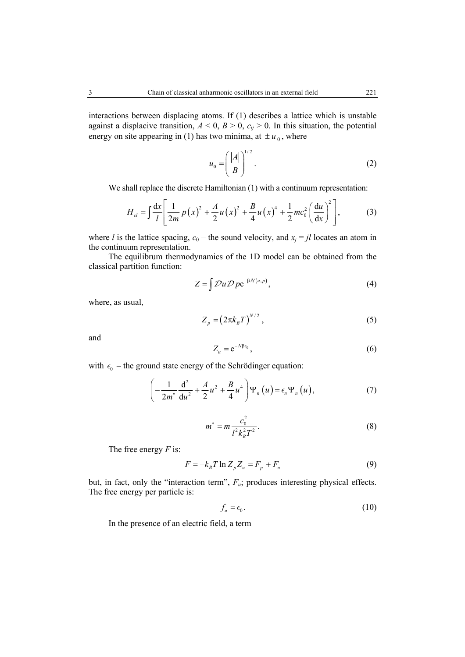interactions between displacing atoms. If (1) describes a lattice which is unstable against a displacive transition,  $A < 0$ ,  $B > 0$ ,  $c_{ij} > 0$ . In this situation, the potential energy on site appearing in (1) has two minima, at  $\pm u_0$ , where

$$
u_0 = \left(\frac{|A|}{B}\right)^{1/2}.\tag{2}
$$

We shall replace the discrete Hamiltonian  $(1)$  with a continuum representation:

$$
H_{cl} = \int \frac{dx}{l} \left[ \frac{1}{2m} p(x)^2 + \frac{A}{2} u(x)^2 + \frac{B}{4} u(x)^4 + \frac{1}{2} m c_0^2 \left( \frac{du}{dx} \right)^2 \right],
$$
 (3)

where *l* is the lattice spacing,  $c_0$  – the sound velocity, and  $x_j = il$  locates an atom in the continuum representation.

The equilibrum thermodynamics of the 1D model can be obtained from the classical partition function:

$$
Z = \int \mathcal{D}u \mathcal{D}p e^{-\beta \mathcal{H}(u,p)}, \qquad (4)
$$

where, as usual,

$$
Z_p = \left(2\pi k_B T\right)^{N/2},\tag{5}
$$

and 
$$
Z_u = e^{-N\beta \epsilon_0}, \qquad (6)
$$

with  $\epsilon_0$  – the ground state energy of the Schrödinger equation:

$$
\left(-\frac{1}{2m^*}\frac{d^2}{du^2} + \frac{A}{2}u^2 + \frac{B}{4}u^4\right)\Psi_n\left(u\right) = \epsilon_n\Psi_n\left(u\right),\tag{7}
$$

$$
m^* = m \frac{c_0^2}{l^2 k_B^2 T^2}.
$$
 (8)

The free energy *F* is:

$$
F = -k_B T \ln Z_p Z_u = F_p + F_u \tag{9}
$$

but, in fact, only the "interaction term",  $F_u$ ; produces interesting physical effects. The free energy per particle is:

$$
f_u = \epsilon_0. \tag{10}
$$

In the presence of an electric field, a term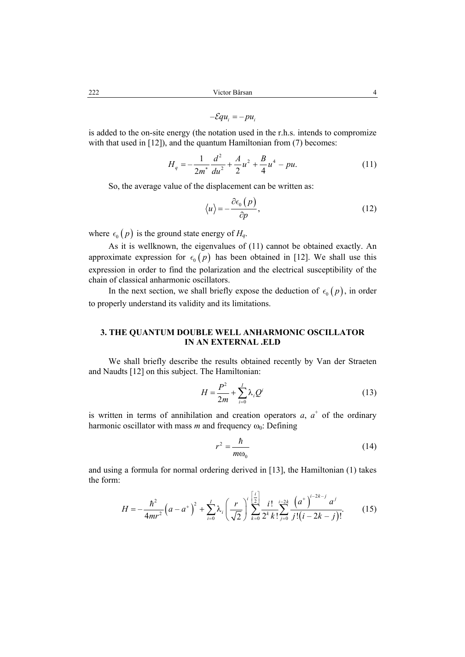$$
-\mathcal{E}qu_i = -pu_i
$$

is added to the on-site energy (the notation used in the r.h.s. intends to compromize with that used in [12]), and the quantum Hamiltonian from (7) becomes:

$$
H_q = -\frac{1}{2m^*} \frac{d^2}{du^2} + \frac{A}{2} u^2 + \frac{B}{4} u^4 - pu. \tag{11}
$$

So, the average value of the displacement can be written as:

$$
\langle u \rangle = -\frac{\partial \epsilon_0 (p)}{\partial p},\tag{12}
$$

where  $\epsilon_0$  (*p*) is the ground state energy of  $H_q$ .

As it is wellknown, the eigenvalues of (11) cannot be obtained exactly. An approximate expression for  $\epsilon_0$  (*p*) has been obtained in [12]. We shall use this expression in order to find the polarization and the electrical susceptibility of the chain of classical anharmonic oscillators.

In the next section, we shall briefly expose the deduction of  $\epsilon_0$  (*p*), in order to properly understand its validity and its limitations.

# **3. THE QUANTUM DOUBLE WELL ANHARMONIC OSCILLATOR IN AN EXTERNAL .ELD**

We shall briefly describe the results obtained recently by Van der Straeten and Naudts [12] on this subject. The Hamiltonian:

$$
H = \frac{P^2}{2m} + \sum_{i=0}^{I} \lambda_i Q^i
$$
 (13)

is written in terms of annihilation and creation operators  $a$ ,  $a^+$  of the ordinary harmonic oscillator with mass *m* and frequency  $\omega_0$ : Defining

$$
r^2 = \frac{\hbar}{m\omega_0} \tag{14}
$$

and using a formula for normal ordering derived in [13], the Hamiltonian (1) takes the form:

$$
H = -\frac{\hbar^2}{4mr^2} \left(a - a^+\right)^2 + \sum_{i=0}^{I} \lambda_i \left(\frac{r}{\sqrt{2}}\right)^i \sum_{k=0}^{\left[\frac{i}{2}\right]} \frac{i!}{2^k k!} \sum_{j=0}^{i-2k} \frac{\left(a^+\right)^{i-2k-j} a^j}{j!(i-2k-j)!}.
$$
 (15)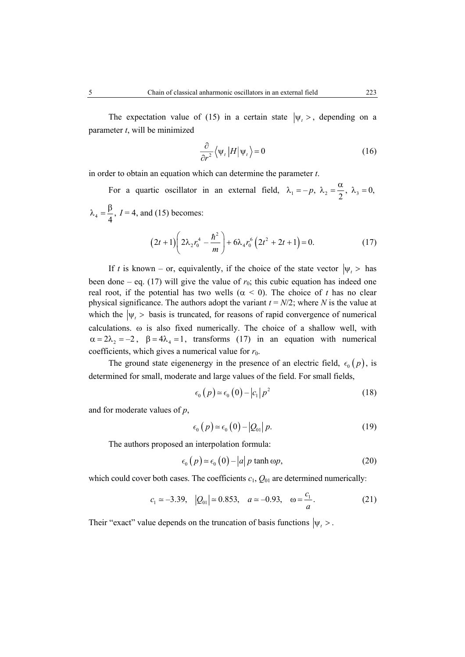The expectation value of (15) in a certain state  $|\psi_t\rangle$ , depending on a parameter *t*, will be minimized

$$
\frac{\partial}{\partial r^2} \langle \psi_t | H | \psi_t \rangle = 0 \tag{16}
$$

in order to obtain an equation which can determine the parameter *t*.

For a quartic oscillator in an external field,  $\lambda_1 = -p$ ,  $\lambda_2 = \frac{\alpha}{2}$ ,  $\lambda_3 = 0$ ,  $_4 = \frac{P}{4}$ ,  $\lambda_4 = \frac{\beta}{l}$ ,  $I = 4$ , and (15) becomes:

$$
(2t+1)\left(2\lambda_2 r_0^4 - \frac{\hbar^2}{m}\right) + 6\lambda_4 r_0^6 \left(2t^2 + 2t + 1\right) = 0. \tag{17}
$$

If *t* is known – or, equivalently, if the choice of the state vector  $|\psi_t\rangle$  has been done – eq. (17) will give the value of  $r_0$ ; this cubic equation has indeed one real root, if the potential has two wells ( $\alpha$  < 0). The choice of *t* has no clear physical significance. The authors adopt the variant  $t = N/2$ ; where *N* is the value at which the  $|\psi_t|$  is truncated, for reasons of rapid convergence of numerical calculations. ω is also fixed numerically. The choice of a shallow well, with  $\alpha = 2\lambda_2 = -2$ ,  $\beta = 4\lambda_4 = 1$ , transforms (17) in an equation with numerical coefficients, which gives a numerical value for  $r_0$ .

The ground state eigenenergy in the presence of an electric field,  $\epsilon_0$  (*p*), is determined for small, moderate and large values of the field. For small fields,

$$
\epsilon_0(p) \approx \epsilon_0(0) - |c_1| p^2 \tag{18}
$$

and for moderate values of *p*,

$$
\epsilon_0(p) \approx \epsilon_0(0) - |Q_{01}| p. \tag{19}
$$

The authors proposed an interpolation formula:

$$
\epsilon_0(p) \approx \epsilon_0(0) - |a| p \tanh \omega p, \tag{20}
$$

which could cover both cases. The coefficients  $c_1$ ,  $Q_{01}$  are determined numerically:

$$
c_1 \approx -3.39
$$
,  $|Q_{01}| \approx 0.853$ ,  $a \approx -0.93$ ,  $\omega = \frac{c_1}{a}$ . (21)

Their "exact" value depends on the truncation of basis functions  $|\psi_t\rangle$ .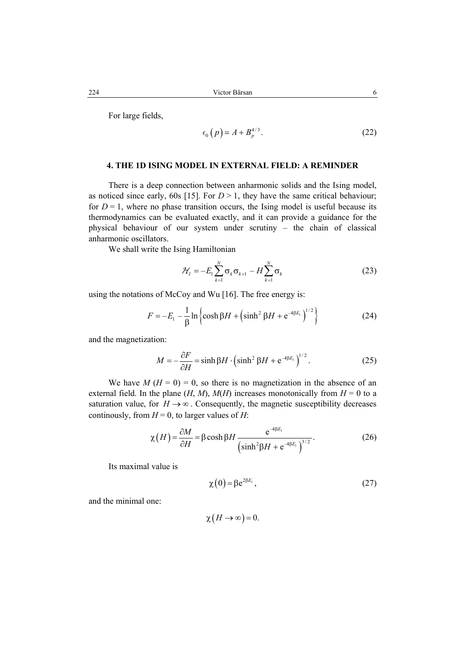For large fields,

$$
\epsilon_0(p) \simeq A + B_p^{4/3}.
$$
 (22)

# **4. THE 1D ISING MODEL IN EXTERNAL FIELD: A REMINDER**

There is a deep connection between anharmonic solids and the Ising model, as noticed since early, 60s [15]. For  $D > 1$ , they have the same critical behaviour; for  $D = 1$ , where no phase transition occurs, the Ising model is useful because its thermodynamics can be evaluated exactly, and it can provide a guidance for the physical behaviour of our system under scrutiny – the chain of classical anharmonic oscillators.

We shall write the Ising Hamiltonian

$$
\mathcal{H}_I = -E_1 \sum_{k=1}^N \sigma_k \sigma_{k+1} - H \sum_{k=1}^N \sigma_k \tag{23}
$$

using the notations of McCoy and Wu [16]. The free energy is:

$$
F = -E_1 - \frac{1}{\beta} \ln \left\{ \cosh \beta H + \left( \sinh^2 \beta H + e^{-4\beta E_1} \right)^{1/2} \right\}
$$
 (24)

and the magnetization:

$$
M = -\frac{\partial F}{\partial H} = \sinh \beta H \cdot \left(\sinh^2 \beta H + e^{-4\beta E_1}\right)^{1/2}.
$$
 (25)

We have  $M(H = 0) = 0$ , so there is no magnetization in the absence of an external field. In the plane  $(H, M)$ ,  $M(H)$  increases monotonically from  $H = 0$  to a saturation value, for  $H \rightarrow \infty$ . Consequently, the magnetic susceptibility decreases continously, from  $H = 0$ , to larger values of *H*:

$$
\chi(H) = \frac{\partial M}{\partial H} = \beta \cosh \beta H \frac{e^{-4\beta E_1}}{\left(\sinh^2 \beta H + e^{-4\beta E_1}\right)^{3/2}}.
$$
 (26)

Its maximal value is

$$
\chi(0) = \beta e^{2\beta E_1},\tag{27}
$$

and the minimal one:

$$
\chi(H \to \infty) = 0.
$$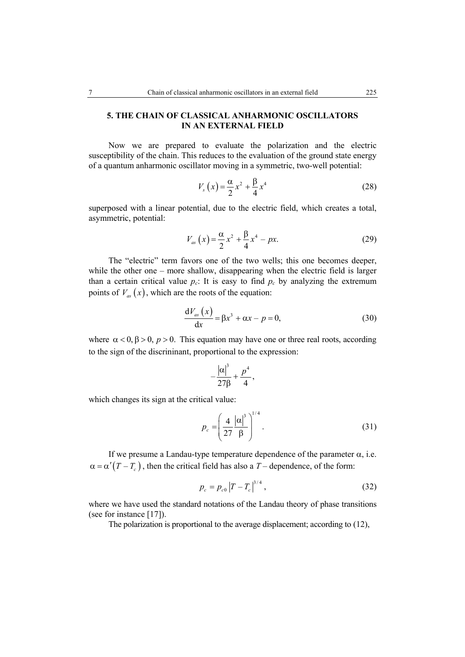# **5. THE CHAIN OF CLASSICAL ANHARMONIC OSCILLATORS IN AN EXTERNAL FIELD**

Now we are prepared to evaluate the polarization and the electric susceptibility of the chain. This reduces to the evaluation of the ground state energy of a quantum anharmonic oscillator moving in a symmetric, two-well potential:

$$
V_s(x) = \frac{\alpha}{2}x^2 + \frac{\beta}{4}x^4
$$
 (28)

superposed with a linear potential, due to the electric field, which creates a total, asymmetric, potential:

$$
V_{as}(x) = \frac{\alpha}{2}x^2 + \frac{\beta}{4}x^4 - px.
$$
 (29)

The "electric" term favors one of the two wells; this one becomes deeper, while the other one – more shallow, disappearing when the electric field is larger than a certain critical value  $p_c$ : It is easy to find  $p_c$  by analyzing the extremum points of  $V_{as}(x)$ , which are the roots of the equation:

$$
\frac{dV_{as}(x)}{dx} = \beta x^3 + \alpha x - p = 0,
$$
\n(30)

where  $\alpha < 0$ ,  $\beta > 0$ ,  $p > 0$ . This equation may have one or three real roots, according to the sign of the discrininant, proportional to the expression:

$$
-\frac{|\alpha|^3}{27\beta}+\frac{p^4}{4},
$$

which changes its sign at the critical value:

$$
p_c = \left(\frac{4}{27} \frac{|\alpha|^3}{\beta}\right)^{1/4}.
$$
 (31)

If we presume a Landau-type temperature dependence of the parameter  $\alpha$ , i.e.  $\alpha = \alpha'(T - T_c)$ , then the critical field has also a *T* – dependence, of the form:

$$
p_c = p_{c0} |T - T_c|^{3/4}, \qquad (32)
$$

where we have used the standard notations of the Landau theory of phase transitions (see for instance [17]).

The polarization is proportional to the average displacement; according to (12),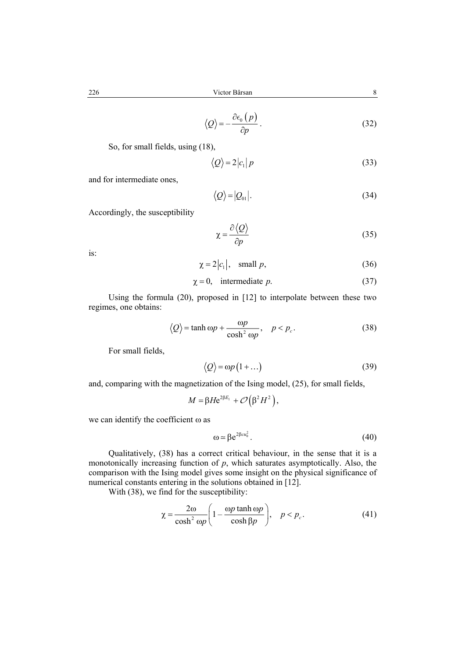$$
\langle Q \rangle = -\frac{\partial \epsilon_0 (p)}{\partial p} \,. \tag{32}
$$

So, for small fields, using (18),

$$
\langle Q \rangle = 2|c_1|p \tag{33}
$$

and for intermediate ones,

$$
\langle \mathcal{Q} \rangle = |\mathcal{Q}_{01}|. \tag{34}
$$

Accordingly, the susceptibility

$$
\chi = \frac{\partial \langle Q \rangle}{\partial p} \tag{35}
$$

is:

$$
\chi = 2|c_1|, \quad \text{small } p,\tag{36}
$$

$$
\chi = 0, \quad \text{intermediate } p. \tag{37}
$$

Using the formula (20), proposed in [12] to interpolate between these two regimes, one obtains:

$$
\langle Q \rangle = \tanh \omega p + \frac{\omega p}{\cosh^2 \omega p}, \quad p < p_c. \tag{38}
$$

For small fields,

$$
\langle \mathcal{Q} \rangle = \omega p \left( 1 + \ldots \right) \tag{39}
$$

and, comparing with the magnetization of the Ising model, (25), for small fields,

$$
M = \beta H e^{2\beta E_1} + \mathcal{O}(\beta^2 H^2),
$$

we can identify the coefficient ω as

$$
\omega = \beta e^{2\beta c u_0^2}.\tag{40}
$$

Qualitatively, (38) has a correct critical behaviour, in the sense that it is a monotonically increasing function of *p*, which saturates asymptotically. Also, the comparison with the Ising model gives some insight on the physical significance of numerical constants entering in the solutions obtained in [12].

With (38), we find for the susceptibility:

$$
\chi = \frac{2\omega}{\cosh^2 \omega p} \left( 1 - \frac{\omega p \tanh \omega p}{\cosh \beta p} \right), \quad p < p_c. \tag{41}
$$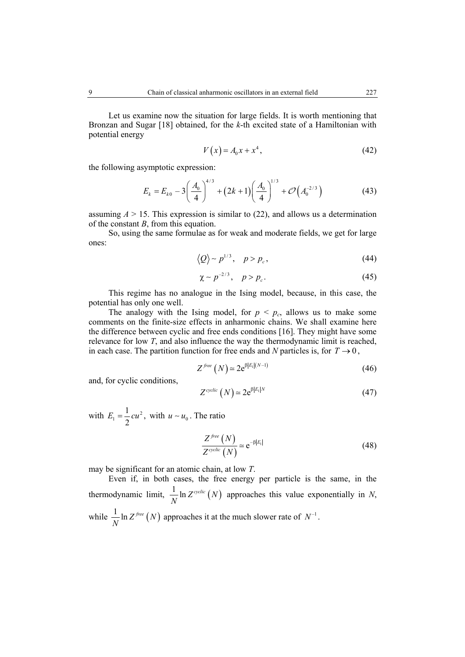Let us examine now the situation for large fields. It is worth mentioning that Bronzan and Sugar [18] obtained, for the *k*-th excited state of a Hamiltonian with potential energy

$$
V(x) = A_0 x + x^4, \tag{42}
$$

the following asymptotic expression:

$$
E_k = E_{k0} - 3\left(\frac{A_0}{4}\right)^{4/3} + \left(2k+1\right)\left(\frac{A_0}{4}\right)^{1/3} + \mathcal{O}\left(A_0^{-2/3}\right) \tag{43}
$$

assuming  $A > 15$ . This expression is similar to (22), and allows us a determination of the constant *B*, from this equation.

So, using the same formulae as for weak and moderate fields, we get for large ones:

$$
\langle Q \rangle \sim p^{1/3}, \quad p > p_c, \tag{44}
$$

$$
\chi \sim p^{-2/3}, \quad p > p_c. \tag{45}
$$

This regime has no analogue in the Ising model, because, in this case, the potential has only one well.

The analogy with the Ising model, for  $p < p_c$ , allows us to make some comments on the finite-size effects in anharmonic chains. We shall examine here the difference between cyclic and free ends conditions [16]. They might have some relevance for low *T*, and also influence the way the thermodynamic limit is reached, in each case. The partition function for free ends and *N* particles is, for  $T \rightarrow 0$ ,

$$
Z^{free}(N) \simeq 2e^{\beta |E_1|(N-1)}
$$
\n(46)

and, for cyclic conditions,

$$
Z^{\text{cyclic}}\left(N\right) \simeq 2e^{\beta|E_1|N} \tag{47}
$$

with  $E_1 = \frac{1}{2} c u^2$ , with  $u \sim u_0$ . The ratio

$$
\frac{Z^{free}\left(N\right)}{Z^{cycle}\left(N\right)} \approx e^{-\beta|E_{i}|}\tag{48}
$$

may be significant for an atomic chain, at low *T*.

Even if, in both cases, the free energy per particle is the same, in the thermodynamic limit,  $\frac{1}{N} \ln Z^{\text{cyclic}}(N)$  approaches this value exponentially in *N*, while  $\frac{1}{N} \ln Z^{free}(N)$  approaches it at the much slower rate of  $N^{-1}$ .